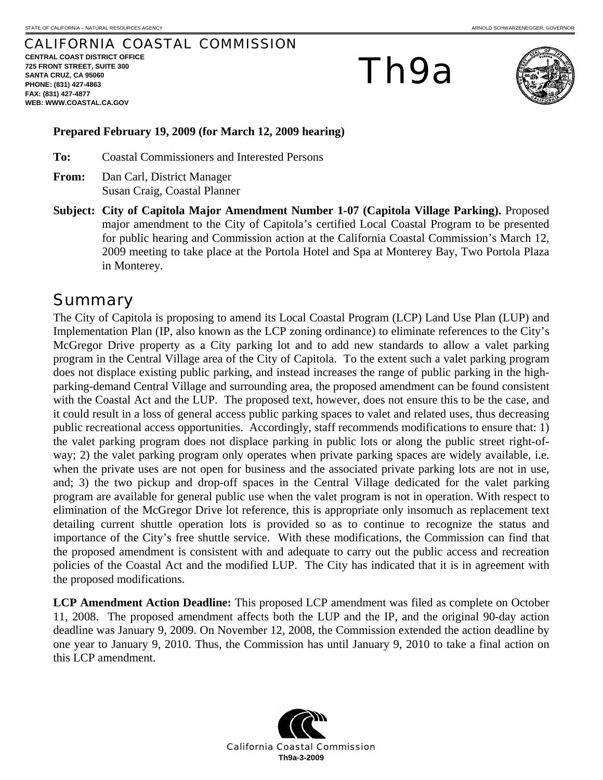#### CALIFORNIA COASTAL COMMISSION

**CENTRAL COAST DISTRICT OFFICE 725 FRONT STREET, SUITE 300 SANTA CRUZ, CA 95060 PHONE: (831) 427-4863 FAX: (831) 427-4877 WEB: WWW.COASTAL.CA.GOV**

# Th9a



#### **Prepared February 19, 2009 (for March 12, 2009 hearing)**

**To:** Coastal Commissioners and Interested Persons

- **From:** Dan Carl, District Manager Susan Craig, Coastal Planner
- **Subject: City of Capitola Major Amendment Number 1-07 (Capitola Village Parking).** Proposed major amendment to the City of Capitola's certified Local Coastal Program to be presented for public hearing and Commission action at the California Coastal Commission's March 12, 2009 meeting to take place at the Portola Hotel and Spa at Monterey Bay, Two Portola Plaza in Monterey.

#### Summary

The City of Capitola is proposing to amend its Local Coastal Program (LCP) Land Use Plan (LUP) and Implementation Plan (IP, also known as the LCP zoning ordinance) to eliminate references to the City's McGregor Drive property as a City parking lot and to add new standards to allow a valet parking program in the Central Village area of the City of Capitola. To the extent such a valet parking program does not displace existing public parking, and instead increases the range of public parking in the highparking-demand Central Village and surrounding area, the proposed amendment can be found consistent with the Coastal Act and the LUP. The proposed text, however, does not ensure this to be the case, and it could result in a loss of general access public parking spaces to valet and related uses, thus decreasing public recreational access opportunities. Accordingly, staff recommends modifications to ensure that: 1) the valet parking program does not displace parking in public lots or along the public street right-ofway; 2) the valet parking program only operates when private parking spaces are widely available, i.e. when the private uses are not open for business and the associated private parking lots are not in use, and; 3) the two pickup and drop-off spaces in the Central Village dedicated for the valet parking program are available for general public use when the valet program is not in operation. With respect to elimination of the McGregor Drive lot reference, this is appropriate only insomuch as replacement text detailing current shuttle operation lots is provided so as to continue to recognize the status and importance of the City's free shuttle service. With these modifications, the Commission can find that the proposed amendment is consistent with and adequate to carry out the public access and recreation policies of the Coastal Act and the modified LUP. The City has indicated that it is in agreement with the proposed modifications.

**LCP Amendment Action Deadline:** This proposed LCP amendment was filed as complete on October 11, 2008. The proposed amendment affects both the LUP and the IP, and the original 90-day action deadline was January 9, 2009. On November 12, 2008, the Commission extended the action deadline by one year to January 9, 2010. Thus, the Commission has until January 9, 2010 to take a final action on this LCP amendment.

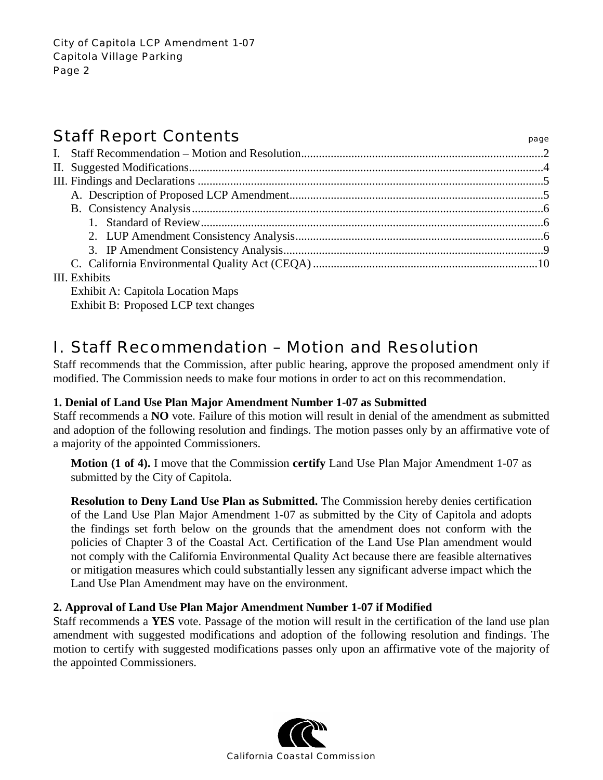### **Staff Report Contents**

| ۰.<br>$\sim$<br>. .<br>۰.<br>×<br>-<br>× |
|------------------------------------------|
|------------------------------------------|

| $III$ $Ex$ $hthe$ |  |
|-------------------|--|

#### III. Exhibits

Exhibit A: Capitola Location Maps Exhibit B: Proposed LCP text changes

### I. Staff Recommendation – Motion and Resolution

Staff recommends that the Commission, after public hearing, approve the proposed amendment only if modified. The Commission needs to make four motions in order to act on this recommendation.

#### **1. Denial of Land Use Plan Major Amendment Number 1-07 as Submitted**

Staff recommends a **NO** vote. Failure of this motion will result in denial of the amendment as submitted and adoption of the following resolution and findings. The motion passes only by an affirmative vote of a majority of the appointed Commissioners.

**Motion (1 of 4).** I move that the Commission **certify** Land Use Plan Major Amendment 1-07 as submitted by the City of Capitola.

**Resolution to Deny Land Use Plan as Submitted.** The Commission hereby denies certification of the Land Use Plan Major Amendment 1-07 as submitted by the City of Capitola and adopts the findings set forth below on the grounds that the amendment does not conform with the policies of Chapter 3 of the Coastal Act. Certification of the Land Use Plan amendment would not comply with the California Environmental Quality Act because there are feasible alternatives or mitigation measures which could substantially lessen any significant adverse impact which the Land Use Plan Amendment may have on the environment.

#### **2. Approval of Land Use Plan Major Amendment Number 1-07 if Modified**

Staff recommends a **YES** vote. Passage of the motion will result in the certification of the land use plan amendment with suggested modifications and adoption of the following resolution and findings. The motion to certify with suggested modifications passes only upon an affirmative vote of the majority of the appointed Commissioners.

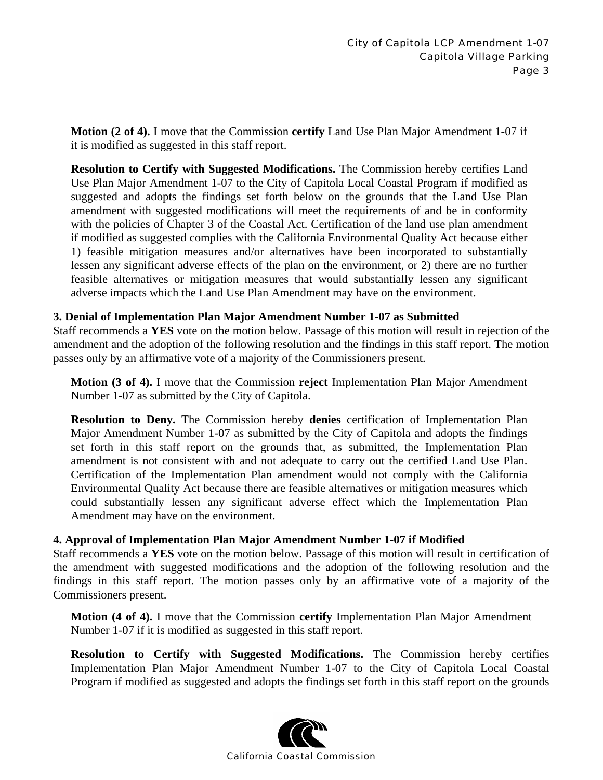**Motion (2 of 4).** I move that the Commission **certify** Land Use Plan Major Amendment 1-07 if it is modified as suggested in this staff report.

**Resolution to Certify with Suggested Modifications.** The Commission hereby certifies Land Use Plan Major Amendment 1-07 to the City of Capitola Local Coastal Program if modified as suggested and adopts the findings set forth below on the grounds that the Land Use Plan amendment with suggested modifications will meet the requirements of and be in conformity with the policies of Chapter 3 of the Coastal Act. Certification of the land use plan amendment if modified as suggested complies with the California Environmental Quality Act because either 1) feasible mitigation measures and/or alternatives have been incorporated to substantially lessen any significant adverse effects of the plan on the environment, or 2) there are no further feasible alternatives or mitigation measures that would substantially lessen any significant adverse impacts which the Land Use Plan Amendment may have on the environment.

#### **3. Denial of Implementation Plan Major Amendment Number 1-07 as Submitted**

Staff recommends a **YES** vote on the motion below. Passage of this motion will result in rejection of the amendment and the adoption of the following resolution and the findings in this staff report. The motion passes only by an affirmative vote of a majority of the Commissioners present.

**Motion (3 of 4).** I move that the Commission **reject** Implementation Plan Major Amendment Number 1-07 as submitted by the City of Capitola.

**Resolution to Deny.** The Commission hereby **denies** certification of Implementation Plan Major Amendment Number 1-07 as submitted by the City of Capitola and adopts the findings set forth in this staff report on the grounds that, as submitted, the Implementation Plan amendment is not consistent with and not adequate to carry out the certified Land Use Plan. Certification of the Implementation Plan amendment would not comply with the California Environmental Quality Act because there are feasible alternatives or mitigation measures which could substantially lessen any significant adverse effect which the Implementation Plan Amendment may have on the environment.

#### **4. Approval of Implementation Plan Major Amendment Number 1-07 if Modified**

Staff recommends a **YES** vote on the motion below. Passage of this motion will result in certification of the amendment with suggested modifications and the adoption of the following resolution and the findings in this staff report. The motion passes only by an affirmative vote of a majority of the Commissioners present.

**Motion (4 of 4).** I move that the Commission **certify** Implementation Plan Major Amendment Number 1-07 if it is modified as suggested in this staff report.

**Resolution to Certify with Suggested Modifications.** The Commission hereby certifies Implementation Plan Major Amendment Number 1-07 to the City of Capitola Local Coastal Program if modified as suggested and adopts the findings set forth in this staff report on the grounds

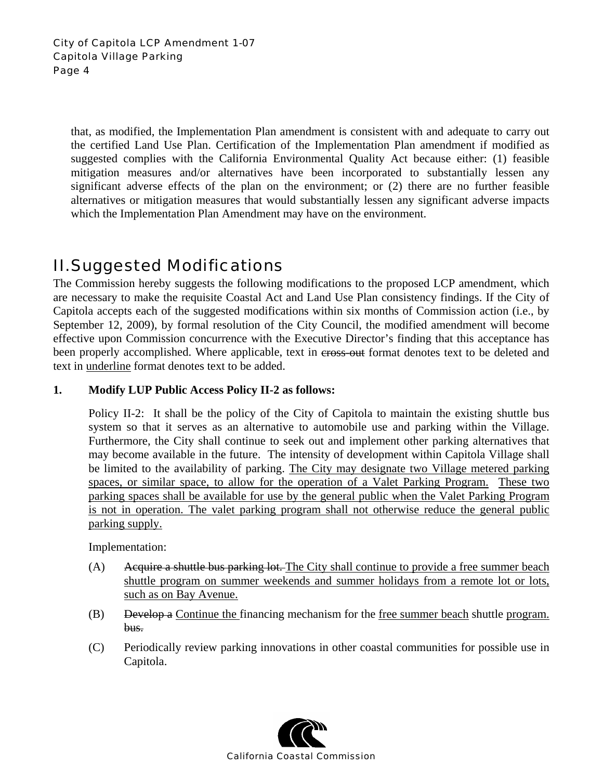that, as modified, the Implementation Plan amendment is consistent with and adequate to carry out the certified Land Use Plan. Certification of the Implementation Plan amendment if modified as suggested complies with the California Environmental Quality Act because either: (1) feasible mitigation measures and/or alternatives have been incorporated to substantially lessen any significant adverse effects of the plan on the environment; or (2) there are no further feasible alternatives or mitigation measures that would substantially lessen any significant adverse impacts which the Implementation Plan Amendment may have on the environment.

### II. Suggested Modifications

The Commission hereby suggests the following modifications to the proposed LCP amendment, which are necessary to make the requisite Coastal Act and Land Use Plan consistency findings. If the City of Capitola accepts each of the suggested modifications within six months of Commission action (i.e., by September 12, 2009), by formal resolution of the City Council, the modified amendment will become effective upon Commission concurrence with the Executive Director's finding that this acceptance has been properly accomplished. Where applicable, text in cross-out format denotes text to be deleted and text in underline format denotes text to be added.

#### **1. Modify LUP Public Access Policy II-2 as follows:**

Policy II-2: It shall be the policy of the City of Capitola to maintain the existing shuttle bus system so that it serves as an alternative to automobile use and parking within the Village. Furthermore, the City shall continue to seek out and implement other parking alternatives that may become available in the future. The intensity of development within Capitola Village shall be limited to the availability of parking. The City may designate two Village metered parking spaces, or similar space, to allow for the operation of a Valet Parking Program. These two parking spaces shall be available for use by the general public when the Valet Parking Program is not in operation. The valet parking program shall not otherwise reduce the general public parking supply.

Implementation:

- (A) Acquire a shuttle bus parking lot. The City shall continue to provide a free summer beach shuttle program on summer weekends and summer holidays from a remote lot or lots, such as on Bay Avenue.
- (B) Develop a Continue the financing mechanism for the free summer beach shuttle program. bus.
- (C) Periodically review parking innovations in other coastal communities for possible use in Capitola.

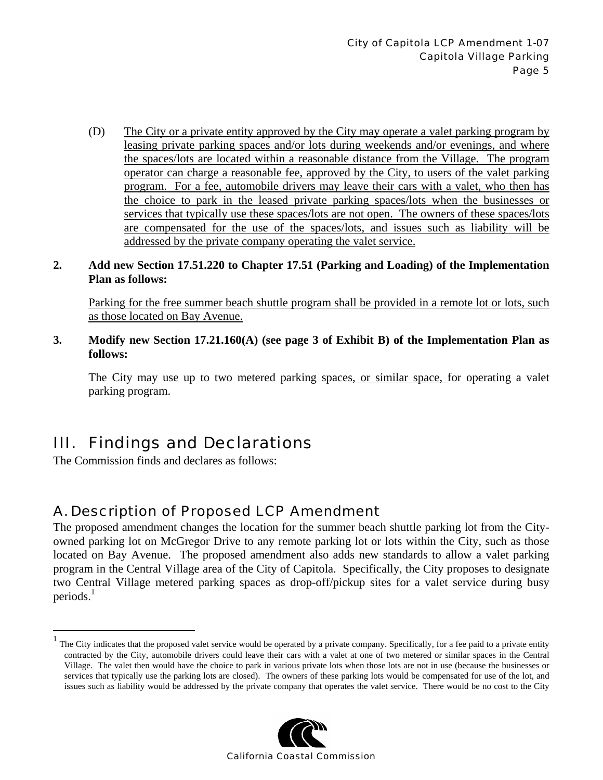(D) The City or a private entity approved by the City may operate a valet parking program by leasing private parking spaces and/or lots during weekends and/or evenings, and where the spaces/lots are located within a reasonable distance from the Village. The program operator can charge a reasonable fee, approved by the City, to users of the valet parking program. For a fee, automobile drivers may leave their cars with a valet, who then has the choice to park in the leased private parking spaces/lots when the businesses or services that typically use these spaces/lots are not open. The owners of these spaces/lots are compensated for the use of the spaces/lots, and issues such as liability will be addressed by the private company operating the valet service.

#### **2. Add new Section 17.51.220 to Chapter 17.51 (Parking and Loading) of the Implementation Plan as follows:**

Parking for the free summer beach shuttle program shall be provided in a remote lot or lots, such as those located on Bay Avenue.

**3. Modify new Section 17.21.160(A) (see page 3 of Exhibit B) of the Implementation Plan as follows:** 

The City may use up to two metered parking spaces, or similar space, for operating a valet parking program.

### III. Findings and Declarations

The Commission finds and declares as follows:

 $\overline{a}$ 

### A. Description of Proposed LCP Amendment

The proposed amendment changes the location for the summer beach shuttle parking lot from the Cityowned parking lot on McGregor Drive to any remote parking lot or lots within the City, such as those located on Bay Avenue. The proposed amendment also adds new standards to allow a valet parking program in the Central Village area of the City of Capitola. Specifically, the City proposes to designate two Central Village metered parking spaces as drop-off/pickup sites for a valet service during busy periods. $<sup>1</sup>$ </sup>

<sup>1</sup> The City indicates that the proposed valet service would be operated by a private company. Specifically, for a fee paid to a private entity contracted by the City, automobile drivers could leave their cars with a valet at one of two metered or similar spaces in the Central Village. The valet then would have the choice to park in various private lots when those lots are not in use (because the businesses or services that typically use the parking lots are closed). The owners of these parking lots would be compensated for use of the lot, and issues such as liability would be addressed by the private company that operates the valet service. There would be no cost to the City

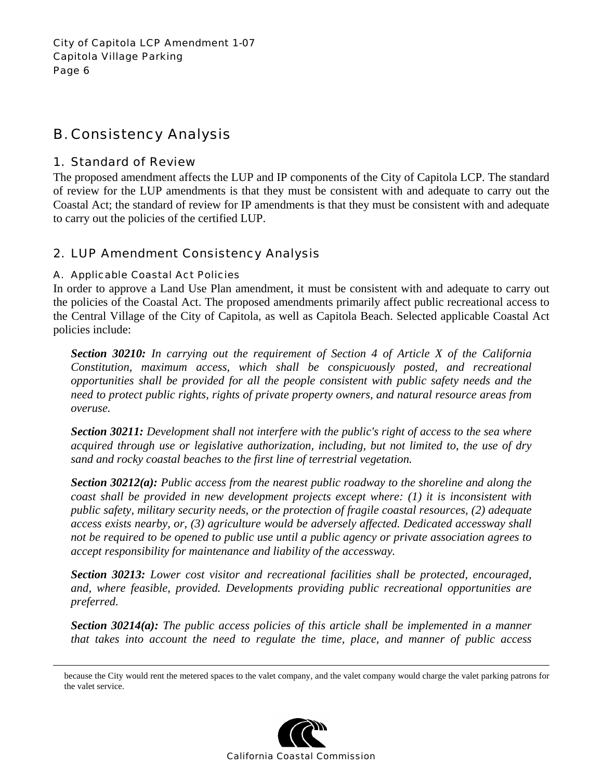### B. Consistency Analysis

#### 1. Standard of Review

The proposed amendment affects the LUP and IP components of the City of Capitola LCP. The standard of review for the LUP amendments is that they must be consistent with and adequate to carry out the Coastal Act; the standard of review for IP amendments is that they must be consistent with and adequate to carry out the policies of the certified LUP.

#### 2. LUP Amendment Consistency Analysis

#### A. Applicable Coastal Act Policies

In order to approve a Land Use Plan amendment, it must be consistent with and adequate to carry out the policies of the Coastal Act. The proposed amendments primarily affect public recreational access to the Central Village of the City of Capitola, as well as Capitola Beach. Selected applicable Coastal Act policies include:

*Section 30210: In carrying out the requirement of Section 4 of Article X of the California Constitution, maximum access, which shall be conspicuously posted, and recreational opportunities shall be provided for all the people consistent with public safety needs and the need to protect public rights, rights of private property owners, and natural resource areas from overuse.* 

*Section 30211: Development shall not interfere with the public's right of access to the sea where acquired through use or legislative authorization, including, but not limited to, the use of dry sand and rocky coastal beaches to the first line of terrestrial vegetation.* 

*Section 30212(a): Public access from the nearest public roadway to the shoreline and along the coast shall be provided in new development projects except where: (1) it is inconsistent with public safety, military security needs, or the protection of fragile coastal resources, (2) adequate access exists nearby, or, (3) agriculture would be adversely affected. Dedicated accessway shall not be required to be opened to public use until a public agency or private association agrees to accept responsibility for maintenance and liability of the accessway.* 

*Section 30213: Lower cost visitor and recreational facilities shall be protected, encouraged, and, where feasible, provided. Developments providing public recreational opportunities are preferred.* 

*Section 30214(a): The public access policies of this article shall be implemented in a manner that takes into account the need to regulate the time, place, and manner of public access* 

because the City would rent the metered spaces to the valet company, and the valet company would charge the valet parking patrons for the valet service.

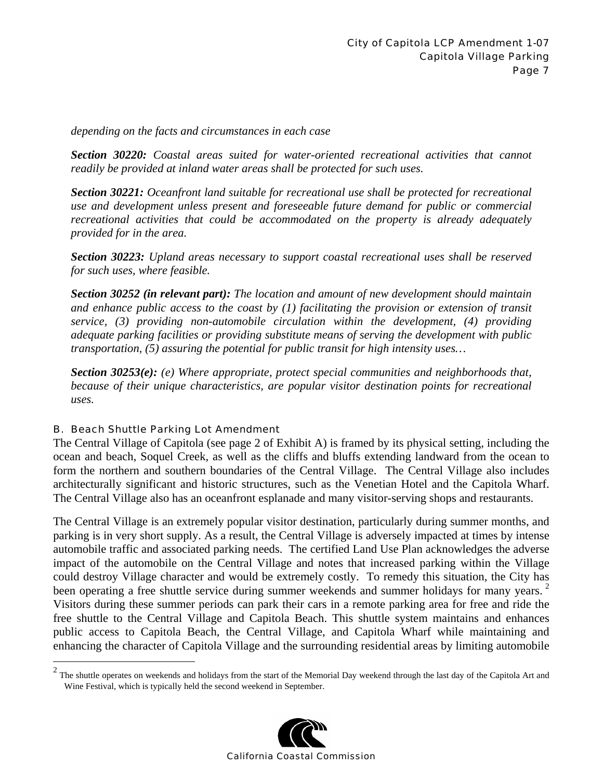*depending on the facts and circumstances in each case* 

*Section 30220: Coastal areas suited for water-oriented recreational activities that cannot readily be provided at inland water areas shall be protected for such uses.* 

*Section 30221: Oceanfront land suitable for recreational use shall be protected for recreational use and development unless present and foreseeable future demand for public or commercial recreational activities that could be accommodated on the property is already adequately provided for in the area.* 

*Section 30223: Upland areas necessary to support coastal recreational uses shall be reserved for such uses, where feasible.* 

*Section 30252 (in relevant part): The location and amount of new development should maintain and enhance public access to the coast by (1) facilitating the provision or extension of transit service, (3) providing non-automobile circulation within the development, (4) providing adequate parking facilities or providing substitute means of serving the development with public transportation, (5) assuring the potential for public transit for high intensity uses…* 

*Section 30253(e): (e) Where appropriate, protect special communities and neighborhoods that, because of their unique characteristics, are popular visitor destination points for recreational uses.* 

#### B. Beach Shuttle Parking Lot Amendment

The Central Village of Capitola (see page 2 of Exhibit A) is framed by its physical setting, including the ocean and beach, Soquel Creek, as well as the cliffs and bluffs extending landward from the ocean to form the northern and southern boundaries of the Central Village. The Central Village also includes architecturally significant and historic structures, such as the Venetian Hotel and the Capitola Wharf. The Central Village also has an oceanfront esplanade and many visitor-serving shops and restaurants.

The Central Village is an extremely popular visitor destination, particularly during summer months, and parking is in very short supply. As a result, the Central Village is adversely impacted at times by intense automobile traffic and associated parking needs. The certified Land Use Plan acknowledges the adverse impact of the automobile on the Central Village and notes that increased parking within the Village could destroy Village character and would be extremely costly. To remedy this situation, the City has been operating a free shuttle service during summer weekends and summer holidays for many years.<sup>2</sup> Visitors during these summer periods can park their cars in a remote parking area for free and ride the free shuttle to the Central Village and Capitola Beach. This shuttle system maintains and enhances public access to Capitola Beach, the Central Village, and Capitola Wharf while maintaining and enhancing the character of Capitola Village and the surrounding residential areas by limiting automobile

The shuttle operates on weekends and holidays from the start of the Memorial Day weekend through the last day of the Capitola Art and  $^2$ Wine Festival, which is typically held the second weekend in September.

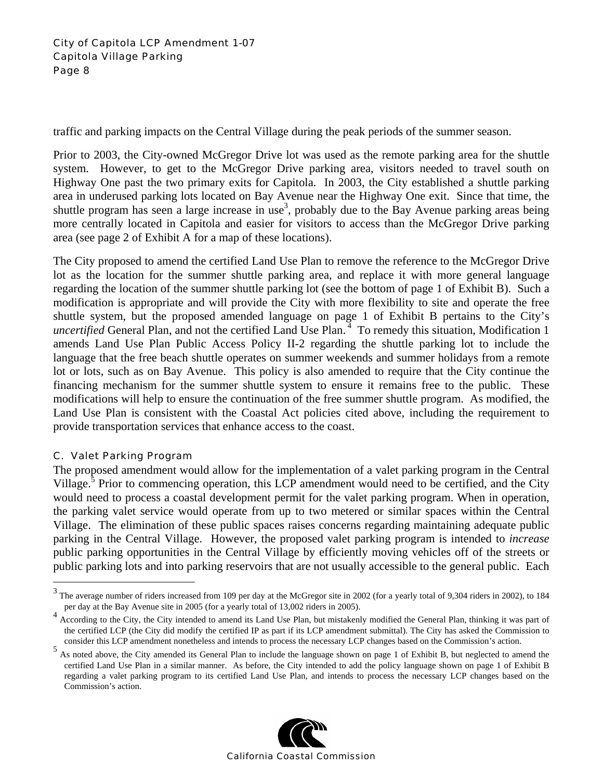traffic and parking impacts on the Central Village during the peak periods of the summer season.

Prior to 2003, the City-owned McGregor Drive lot was used as the remote parking area for the shuttle system. However, to get to the McGregor Drive parking area, visitors needed to travel south on Highway One past the two primary exits for Capitola. In 2003, the City established a shuttle parking area in underused parking lots located on Bay Avenue near the Highway One exit. Since that time, the shuttle program has seen a large increase in use<sup>3</sup>, probably due to the Bay Avenue parking areas being more centrally located in Capitola and easier for visitors to access than the McGregor Drive parking area (see page 2 of Exhibit A for a map of these locations).

The City proposed to amend the certified Land Use Plan to remove the reference to the McGregor Drive lot as the location for the summer shuttle parking area, and replace it with more general language regarding the location of the summer shuttle parking lot (see the bottom of page 1 of Exhibit B). Such a modification is appropriate and will provide the City with more flexibility to site and operate the free shuttle system, but the proposed amended language on page 1 of Exhibit B pertains to the City's *uncertified* General Plan, and not the certified Land Use Plan.<sup>4</sup> To remedy this situation, Modification 1 amends Land Use Plan Public Access Policy II-2 regarding the shuttle parking lot to include the language that the free beach shuttle operates on summer weekends and summer holidays from a remote lot or lots, such as on Bay Avenue. This policy is also amended to require that the City continue the financing mechanism for the summer shuttle system to ensure it remains free to the public. These modifications will help to ensure the continuation of the free summer shuttle program. As modified, the Land Use Plan is consistent with the Coastal Act policies cited above, including the requirement to provide transportation services that enhance access to the coast.

#### C. Valet Parking Program

 $\overline{a}$ 

The proposed amendment would allow for the implementation of a valet parking program in the Central Village.<sup>5</sup> Prior to commencing operation, this LCP amendment would need to be certified, and the City would need to process a coastal development permit for the valet parking program. When in operation, the parking valet service would operate from up to two metered or similar spaces within the Central Village. The elimination of these public spaces raises concerns regarding maintaining adequate public parking in the Central Village. However, the proposed valet parking program is intended to *increase* public parking opportunities in the Central Village by efficiently moving vehicles off of the streets or public parking lots and into parking reservoirs that are not usually accessible to the general public. Each

<sup>&</sup>lt;sup>5</sup> As noted above, the City amended its General Plan to include the language shown on page 1 of Exhibit B, but neglected to amend the certified Land Use Plan in a similar manner. As before, the City intended to add the policy language shown on page 1 of Exhibit B regarding a valet parking program to its certified Land Use Plan, and intends to process the necessary LCP changes based on the Commission's action.



 $3$  The average number of riders increased from 109 per day at the McGregor site in 2002 (for a yearly total of 9,304 riders in 2002), to 184 per day at the Bay Avenue site in 2005 (for a yearly total of 13,002 riders in 2005).

<sup>&</sup>lt;sup>4</sup> According to the City, the City intended to amend its Land Use Plan, but mistakenly modified the General Plan, thinking it was part of the certified LCP (the City did modify the certified IP as part if its LCP amendment submittal). The City has asked the Commission to consider this LCP amendment nonetheless and intends to process the necessary LCP changes based on the Commission's action.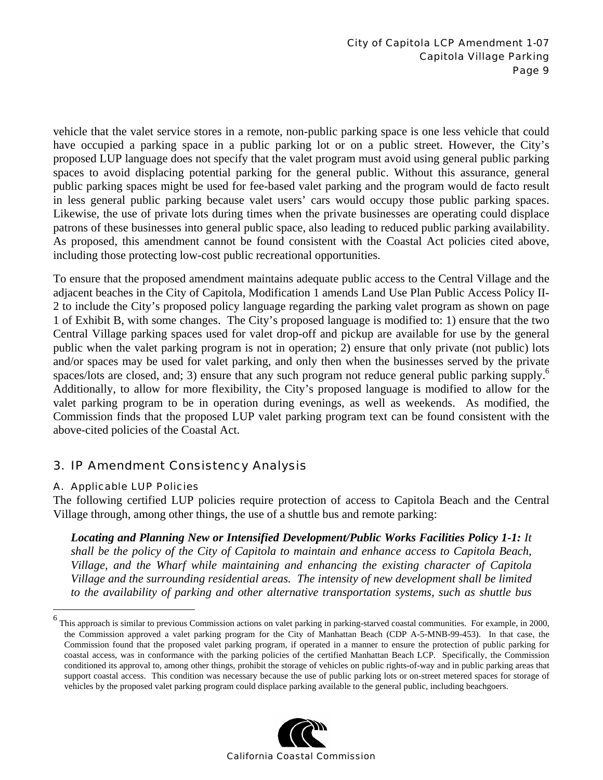vehicle that the valet service stores in a remote, non-public parking space is one less vehicle that could have occupied a parking space in a public parking lot or on a public street. However, the City's proposed LUP language does not specify that the valet program must avoid using general public parking spaces to avoid displacing potential parking for the general public. Without this assurance, general public parking spaces might be used for fee-based valet parking and the program would de facto result in less general public parking because valet users' cars would occupy those public parking spaces. Likewise, the use of private lots during times when the private businesses are operating could displace patrons of these businesses into general public space, also leading to reduced public parking availability. As proposed, this amendment cannot be found consistent with the Coastal Act policies cited above, including those protecting low-cost public recreational opportunities.

To ensure that the proposed amendment maintains adequate public access to the Central Village and the adjacent beaches in the City of Capitola, Modification 1 amends Land Use Plan Public Access Policy II-2 to include the City's proposed policy language regarding the parking valet program as shown on page 1 of Exhibit B, with some changes. The City's proposed language is modified to: 1) ensure that the two Central Village parking spaces used for valet drop-off and pickup are available for use by the general public when the valet parking program is not in operation; 2) ensure that only private (not public) lots and/or spaces may be used for valet parking, and only then when the businesses served by the private spaces/lots are closed, and; 3) ensure that any such program not reduce general public parking supply.<sup>6</sup> Additionally, to allow for more flexibility, the City's proposed language is modified to allow for the valet parking program to be in operation during evenings, as well as weekends. As modified, the Commission finds that the proposed LUP valet parking program text can be found consistent with the above-cited policies of the Coastal Act.

#### 3. IP Amendment Consistency Analysis

#### A. Applicable LUP Policies

 $\overline{a}$ 

The following certified LUP policies require protection of access to Capitola Beach and the Central Village through, among other things, the use of a shuttle bus and remote parking:

*Locating and Planning New or Intensified Development/Public Works Facilities Policy 1-1: It shall be the policy of the City of Capitola to maintain and enhance access to Capitola Beach, Village, and the Wharf while maintaining and enhancing the existing character of Capitola Village and the surrounding residential areas. The intensity of new development shall be limited to the availability of parking and other alternative transportation systems, such as shuttle bus* 

<sup>6</sup> This approach is similar to previous Commission actions on valet parking in parking-starved coastal communities. For example, in 2000, the Commission approved a valet parking program for the City of Manhattan Beach (CDP A-5-MNB-99-453). In that case, the Commission found that the proposed valet parking program, if operated in a manner to ensure the protection of public parking for coastal access, was in conformance with the parking policies of the certified Manhattan Beach LCP. Specifically, the Commission conditioned its approval to, among other things, prohibit the storage of vehicles on public rights-of-way and in public parking areas that support coastal access. This condition was necessary because the use of public parking lots or on-street metered spaces for storage of vehicles by the proposed valet parking program could displace parking available to the general public, including beachgoers.

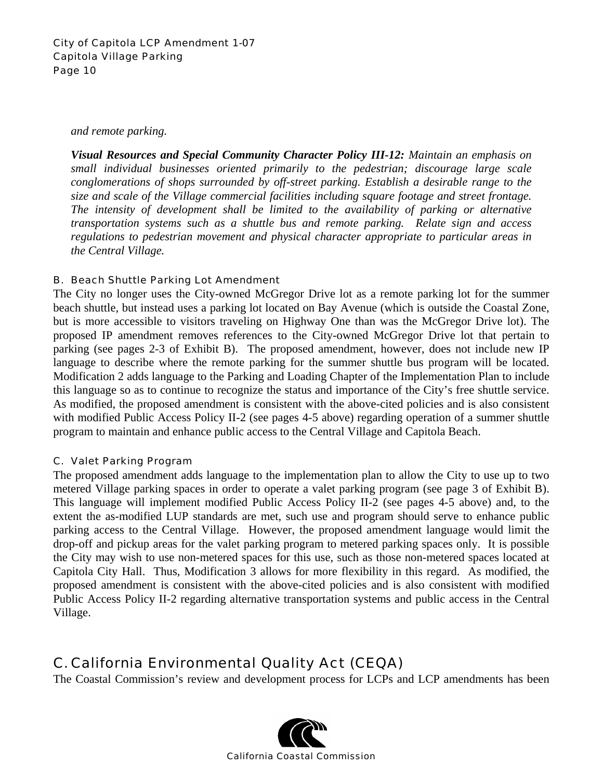#### City of Capitola LCP Amendment 1-07 Capitola Village Parking Page 10

*and remote parking.* 

*Visual Resources and Special Community Character Policy III-12: Maintain an emphasis on small individual businesses oriented primarily to the pedestrian; discourage large scale conglomerations of shops surrounded by off-street parking. Establish a desirable range to the size and scale of the Village commercial facilities including square footage and street frontage. The intensity of development shall be limited to the availability of parking or alternative transportation systems such as a shuttle bus and remote parking. Relate sign and access regulations to pedestrian movement and physical character appropriate to particular areas in the Central Village.* 

#### B. Beach Shuttle Parking Lot Amendment

The City no longer uses the City-owned McGregor Drive lot as a remote parking lot for the summer beach shuttle, but instead uses a parking lot located on Bay Avenue (which is outside the Coastal Zone, but is more accessible to visitors traveling on Highway One than was the McGregor Drive lot). The proposed IP amendment removes references to the City-owned McGregor Drive lot that pertain to parking (see pages 2-3 of Exhibit B). The proposed amendment, however, does not include new IP language to describe where the remote parking for the summer shuttle bus program will be located. Modification 2 adds language to the Parking and Loading Chapter of the Implementation Plan to include this language so as to continue to recognize the status and importance of the City's free shuttle service. As modified, the proposed amendment is consistent with the above-cited policies and is also consistent with modified Public Access Policy II-2 (see pages 4-5 above) regarding operation of a summer shuttle program to maintain and enhance public access to the Central Village and Capitola Beach.

#### C. Valet Parking Program

The proposed amendment adds language to the implementation plan to allow the City to use up to two metered Village parking spaces in order to operate a valet parking program (see page 3 of Exhibit B). This language will implement modified Public Access Policy II-2 (see pages 4-5 above) and, to the extent the as-modified LUP standards are met, such use and program should serve to enhance public parking access to the Central Village. However, the proposed amendment language would limit the drop-off and pickup areas for the valet parking program to metered parking spaces only. It is possible the City may wish to use non-metered spaces for this use, such as those non-metered spaces located at Capitola City Hall. Thus, Modification 3 allows for more flexibility in this regard. As modified, the proposed amendment is consistent with the above-cited policies and is also consistent with modified Public Access Policy II-2 regarding alternative transportation systems and public access in the Central Village.

### C. California Environmental Quality Act (CEQA)

The Coastal Commission's review and development process for LCPs and LCP amendments has been

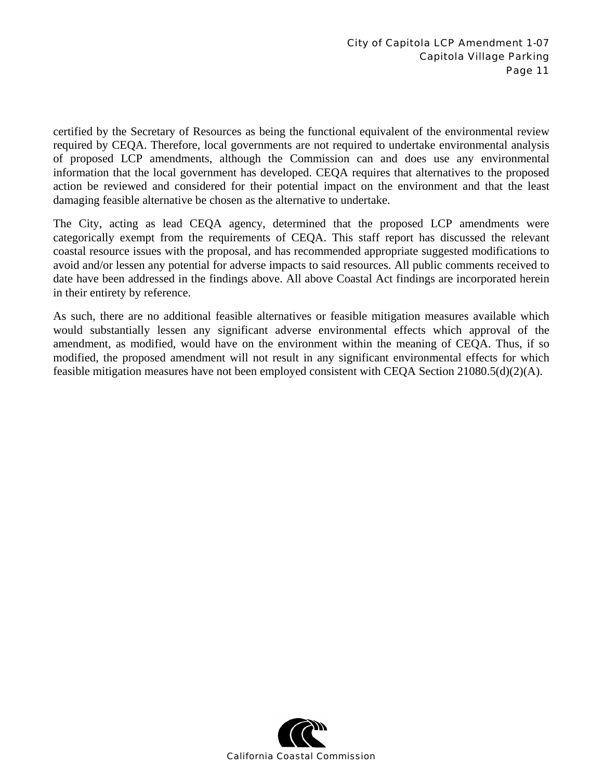certified by the Secretary of Resources as being the functional equivalent of the environmental review required by CEQA. Therefore, local governments are not required to undertake environmental analysis of proposed LCP amendments, although the Commission can and does use any environmental information that the local government has developed. CEQA requires that alternatives to the proposed action be reviewed and considered for their potential impact on the environment and that the least damaging feasible alternative be chosen as the alternative to undertake.

The City, acting as lead CEQA agency, determined that the proposed LCP amendments were categorically exempt from the requirements of CEQA. This staff report has discussed the relevant coastal resource issues with the proposal, and has recommended appropriate suggested modifications to avoid and/or lessen any potential for adverse impacts to said resources. All public comments received to date have been addressed in the findings above. All above Coastal Act findings are incorporated herein in their entirety by reference.

As such, there are no additional feasible alternatives or feasible mitigation measures available which would substantially lessen any significant adverse environmental effects which approval of the amendment, as modified, would have on the environment within the meaning of CEQA. Thus, if so modified, the proposed amendment will not result in any significant environmental effects for which feasible mitigation measures have not been employed consistent with CEQA Section 21080.5(d)(2)(A).

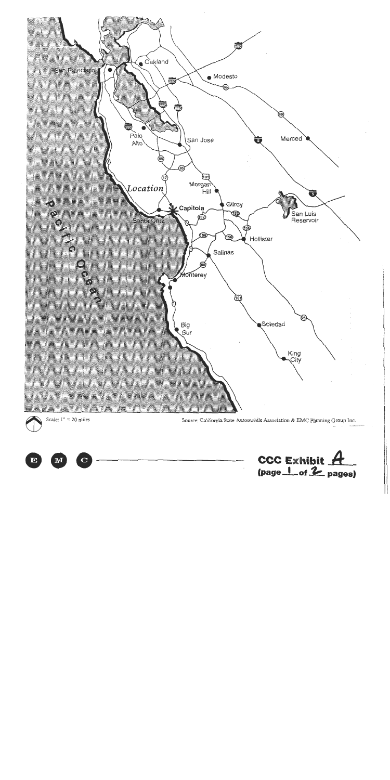



Source: California State Automobile Association & EMC Planning Group Inc.



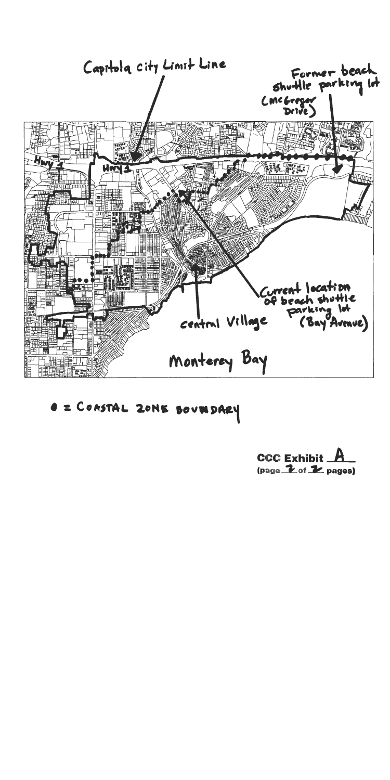

**O = CONSTAL ZONE BOUT DARY** 

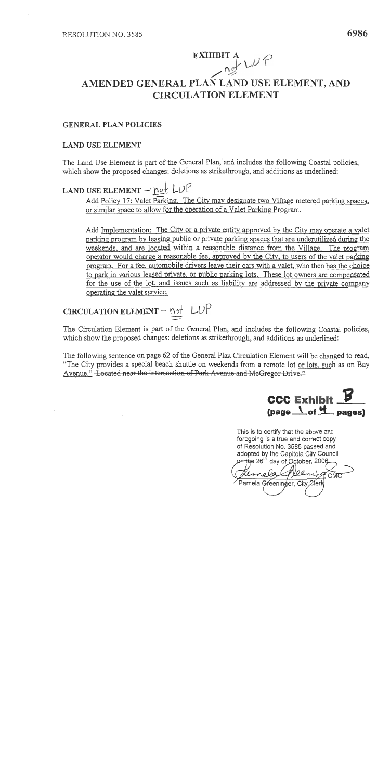### EXHIBIT A  $\mu \psi \in$ AMENDED GENERAL PLAN LAND USE ELEMENT, AND **CIRCULATION ELEMENT**

#### **GENERAL PLAN POLICIES**

#### **LAND USE ELEMENT**

The Land Use Element is part of the General Plan, and includes the following Coastal policies, which show the proposed changes: deletions as strikethrough, and additions as underlined:

### LAND USE ELEMENT - not  $LUP$

Add Policy 17: Valet Parking. The City may designate two Village metered parking spaces, or similar space to allow for the operation of a Valet Parking Program.

Add Implementation: The City or a private entity approved by the City may operate a valet parking program by leasing public or private parking spaces that are underutilized during the weekends, and are located within a reasonable distance from the Village. The program operator would charge a reasonable fee, approved by the City, to users of the valet parking program. For a fee, automobile drivers leave their cars with a valet, who then has the choice to park in various leased private, or public parking lots. These lot owners are compensated for the use of the lot, and issues such as liability are addressed by the private company operating the valet service.

## CIRCULATION ELEMENT - not LUP

The Circulation Element is part of the General Plan, and includes the following Coastal policies, which show the proposed changes: deletions as strikethrough, and additions as underlined:

The following sentence on page 62 of the General Plan Circulation Element will be changed to read, "The City provides a special beach shuttle on weekends from a remote lot or lots, such as on Bay Avenue." Located near the intersection of Park Avenue and McGregor Drive."



This is to certify that the above and foregoing is a true and correct copy of Resolution No. 3585 passed and adopted by the Capitola City Council on the 26<sup>th</sup> day of October, 2006

CMC Pamela Greeninger, City Øferk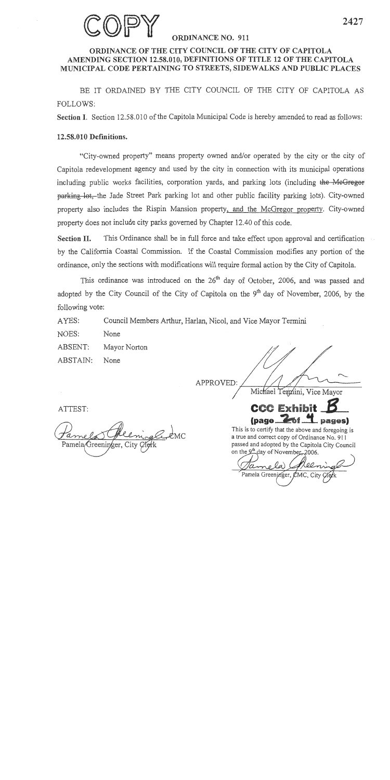

#### **ORDINANCE NO. 911**

#### ORDINANCE OF THE CITY COUNCIL OF THE CITY OF CAPITOLA AMENDING SECTION 12.58.010, DEFINITIONS OF TITLE 12 OF THE CAPITOLA MUNICIPAL CODE PERTAINING TO STREETS, SIDEWALKS AND PUBLIC PLACES

BE IT ORDAINED BY THE CITY COUNCIL OF THE CITY OF CAPITOLA AS FOLLOWS:

Section I. Section 12.58.010 of the Capitola Municipal Code is hereby amended to read as follows:

#### 12.58.010 Definitions.

"City-owned property" means property owned and/or operated by the city or the city of Capitola redevelopment agency and used by the city in connection with its municipal operations including public works facilities, corporation yards, and parking lots (including the MeGregor parking lot. the Jade Street Park parking lot and other public facility parking lots). City-owned property also includes the Rispin Mansion property, and the McGregor property. City-owned property does not include city parks governed by Chapter 12.40 of this code.

**Section II.** This Ordinance shall be in full force and take effect upon approval and certification by the California Coastal Commission. If the Coastal Commission modifies any portion of the ordinance, only the sections with modifications will require formal action by the City of Capitola.

This ordinance was introduced on the 26<sup>th</sup> day of October, 2006, and was passed and adopted by the City Council of the City of Capitola on the 9<sup>th</sup> day of November, 2006, by the following vote:

AYES: Council Members Arthur, Harlan, Nicol, and Vice Mayor Termini

NOES: None

ABSENT: Mayor Norton

ABSTAIN: None

APPROVED:

Michael Temnini, Vice Mayor



This is to certify that the above and foregoing is a true and correct copy of Ordinance No. 911 passed and adopted by the Capitola City Council on the 9<sup>th</sup> day of November, 2006.

Pamela Greeninger, CMC

ATTEST:

Pamela/Greeninger, City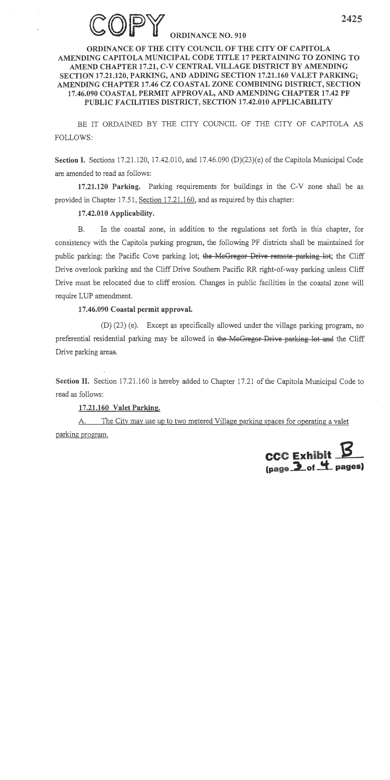#### **DRDINANCE NO. 910**

#### ORDINANCE OF THE CITY COUNCIL OF THE CITY OF CAPITOLA AMENDING CAPITOLA MUNICIPAL CODE TITLE 17 PERTAINING TO ZONING TO AMEND CHAPTER 17.21, C-V CENTRAL VILLAGE DISTRICT BY AMENDING SECTION 17.21.120, PARKING, AND ADDING SECTION 17.21.160 VALET PARKING; AMENDING CHAPTER 17.46 CZ COASTAL ZONE COMBINING DISTRICT, SECTION 17.46.090 COASTAL PERMIT APPROVAL, AND AMENDING CHAPTER 17.42 PF PUBLIC FACILITIES DISTRICT, SECTION 17.42.010 APPLICABILITY

BE IT ORDAINED BY THE CITY COUNCIL OF THE CITY OF CAPITOLA AS **FOLLOWS:** 

Section I. Sections 17.21.120, 17.42.010, and 17.46.090 (D) $(23)$ (e) of the Capitola Municipal Code are amended to read as follows:

17.21.120 Parking. Parking requirements for buildings in the C-V zone shall be as provided in Chapter 17.51, Section 17.21.160, and as required by this chapter:

#### 17.42.010 Applicability.

In the coastal zone, in addition to the regulations set forth in this chapter, for  $B<sub>r</sub>$ consistency with the Capitola parking program, the following PF districts shall be maintained for public parking: the Pacific Cove parking lot; the McGregor Drive remote parking lot; the Cliff Drive overlook parking and the Cliff Drive Southern Pacific RR right-of-way parking unless Cliff Drive must be relocated due to cliff erosion. Changes in public facilities in the coastal zone will require LUP amendment.

#### 17.46.090 Coastal permit approval.

(D) (23) (e). Except as specifically allowed under the village parking program, no preferential residential parking may be allowed in the McGregor Drive parking lot and the Cliff Drive parking areas.

Section II. Section 17.21.160 is hereby added to Chapter 17.21 of the Capitola Municipal Code to read as follows:

#### 17.21.160 Valet Parking.

The City may use up to two metered Village parking spaces for operating a valet A. parking program.